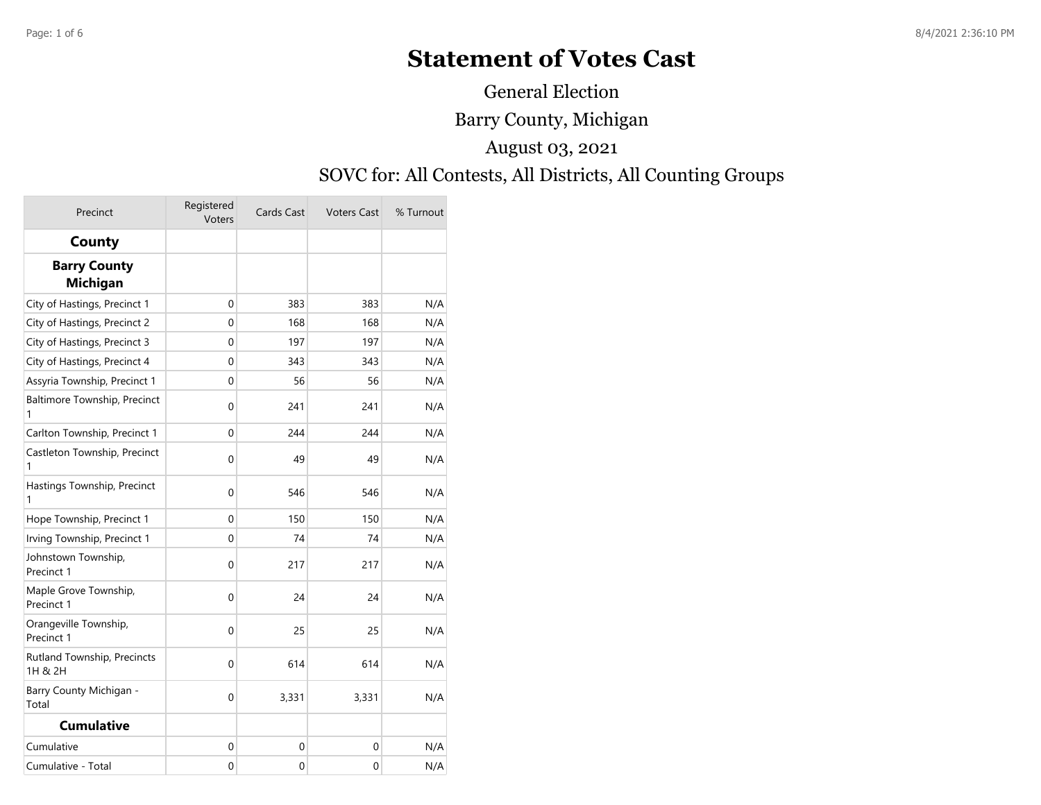## **Statement of Votes Cast**

General Election

Barry County, Michigan

August 03, 2021

## SOVC for: All Contests, All Districts, All Counting Groups

| Precinct                               | Registered<br>Voters | Cards Cast  | <b>Voters Cast</b> | % Turnout |
|----------------------------------------|----------------------|-------------|--------------------|-----------|
| County                                 |                      |             |                    |           |
| <b>Barry County</b><br><b>Michigan</b> |                      |             |                    |           |
| City of Hastings, Precinct 1           | $\mathbf{0}$         | 383         | 383                | N/A       |
| City of Hastings, Precinct 2           | 0                    | 168         | 168                | N/A       |
| City of Hastings, Precinct 3           | 0                    | 197         | 197                | N/A       |
| City of Hastings, Precinct 4           | 0                    | 343         | 343                | N/A       |
| Assyria Township, Precinct 1           | 0                    | 56          | 56                 | N/A       |
| Baltimore Township, Precinct<br>1      | 0                    | 241         | 241                | N/A       |
| Carlton Township, Precinct 1           | 0                    | 244         | 244                | N/A       |
| Castleton Township, Precinct<br>1      | 0                    | 49          | 49                 | N/A       |
| Hastings Township, Precinct<br>1       | $\mathbf 0$          | 546         | 546                | N/A       |
| Hope Township, Precinct 1              | 0                    | 150         | 150                | N/A       |
| Irving Township, Precinct 1            | 0                    | 74          | 74                 | N/A       |
| Johnstown Township,<br>Precinct 1      | 0                    | 217         | 217                | N/A       |
| Maple Grove Township,<br>Precinct 1    | $\mathbf 0$          | 24          | 24                 | N/A       |
| Orangeville Township,<br>Precinct 1    | $\mathbf 0$          | 25          | 25                 | N/A       |
| Rutland Township, Precincts<br>1H & 2H | 0                    | 614         | 614                | N/A       |
| Barry County Michigan -<br>Total       | 0                    | 3,331       | 3,331              | N/A       |
| <b>Cumulative</b>                      |                      |             |                    |           |
| Cumulative                             | 0                    | 0           | 0                  | N/A       |
| Cumulative - Total                     | $\mathbf 0$          | $\mathbf 0$ | 0                  | N/A       |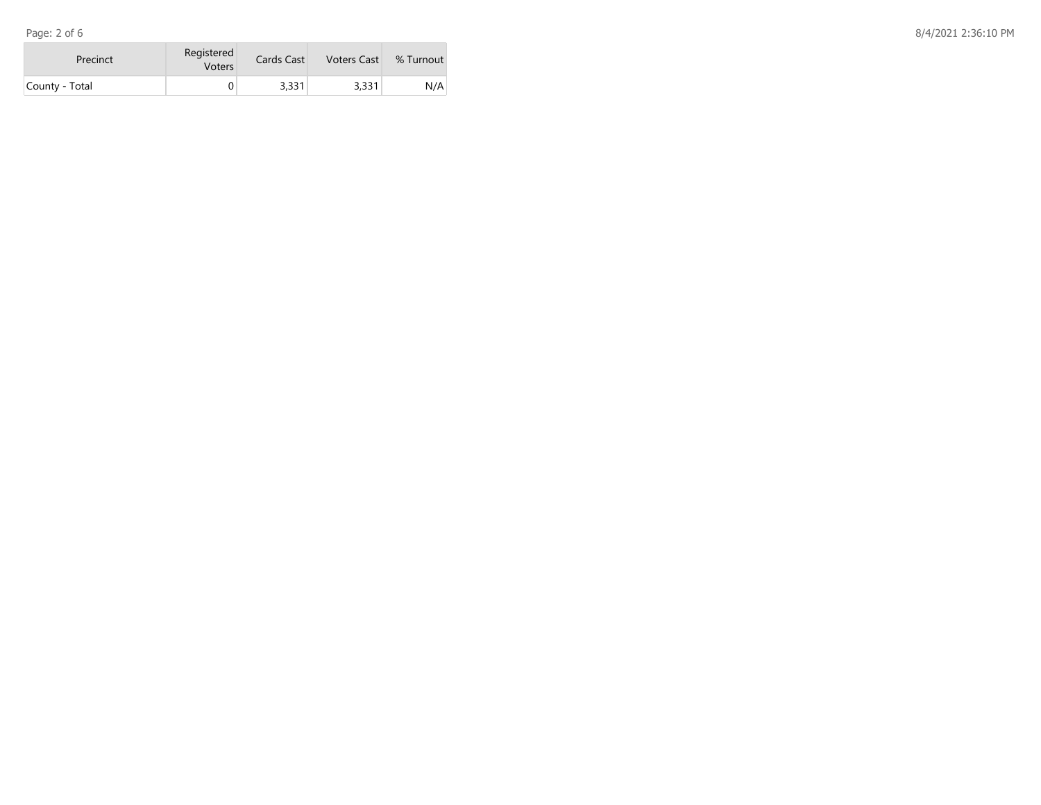| Precinct       | Registered<br><b>Voters</b> | Cards Cast | <b>Voters Cast</b> | % Turnout |
|----------------|-----------------------------|------------|--------------------|-----------|
| County - Total |                             | 3,331      | 3,331              | N/A       |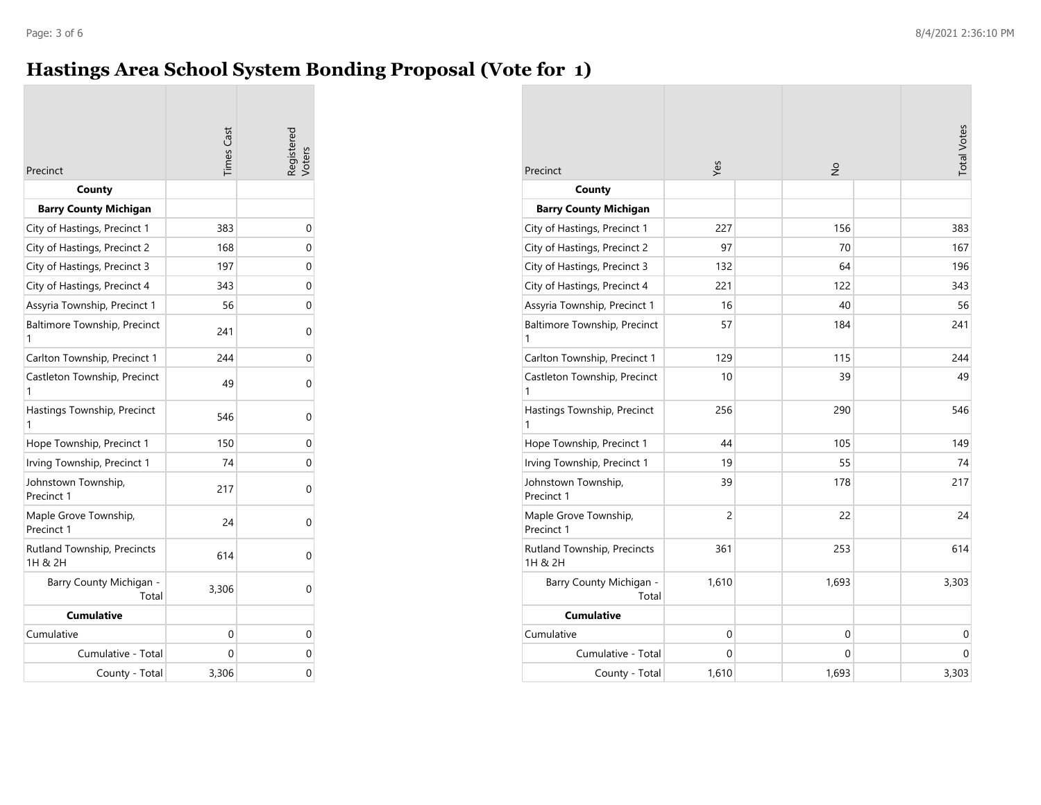## **Hastings Area School System Bonding Proposal (Vote for 1)**

| Precinct                               | Times Cast | egisterec |
|----------------------------------------|------------|-----------|
| County                                 |            |           |
| <b>Barry County Michigan</b>           |            |           |
| City of Hastings, Precinct 1           | 383        | 0         |
| City of Hastings, Precinct 2           | 168        | 0         |
| City of Hastings, Precinct 3           | 197        | 0         |
| City of Hastings, Precinct 4           | 343        | 0         |
| Assyria Township, Precinct 1           | 56         | 0         |
| Baltimore Township, Precinct<br>1      | 241        | 0         |
| Carlton Township, Precinct 1           | 244        | 0         |
| Castleton Township, Precinct<br>1      | 49         | 0         |
| Hastings Township, Precinct<br>1       | 546        | 0         |
| Hope Township, Precinct 1              | 150        | 0         |
| Irving Township, Precinct 1            | 74         | 0         |
| Johnstown Township,<br>Precinct 1      | 217        | 0         |
| Maple Grove Township,<br>Precinct 1    | 24         | 0         |
| Rutland Township, Precincts<br>1H & 2H | 614        | 0         |
| Barry County Michigan -<br>Total       | 3,306      | 0         |
| <b>Cumulative</b>                      |            |           |
| Cumulative                             | 0          | 0         |
| Cumulative - Total                     | 0          | 0         |
| County - Total                         | 3,306      | 0         |

|                                        | Yes                 | $\frac{1}{2}$ | <b>Total Votes</b> |
|----------------------------------------|---------------------|---------------|--------------------|
| Precinct                               |                     |               |                    |
| County                                 |                     |               |                    |
| <b>Barry County Michigan</b>           |                     |               |                    |
| City of Hastings, Precinct 1           | 227                 | 156           | 383                |
| City of Hastings, Precinct 2           | 97                  |               | 70<br>167          |
| City of Hastings, Precinct 3           | 132                 |               | 196<br>64          |
| City of Hastings, Precinct 4           | 221                 | 122           | 343                |
| Assyria Township, Precinct 1           | 16                  |               | 40<br>56           |
| Baltimore Township, Precinct<br>1      | 57                  | 184           | 241                |
| Carlton Township, Precinct 1           | 129                 | 115           | 244                |
| Castleton Township, Precinct<br>1      | 10                  |               | 49<br>39           |
| Hastings Township, Precinct<br>1       | 256                 | 290           | 546                |
| Hope Township, Precinct 1              | 44                  | 105           | 149                |
| Irving Township, Precinct 1            | 19                  |               | 55<br>74           |
| Johnstown Township,<br>Precinct 1      | 39                  | 178           | 217                |
| Maple Grove Township,<br>Precinct 1    | $\overline{2}$      |               | 22<br>24           |
| Rutland Township, Precincts<br>1H & 2H | 361                 | 253           | 614                |
| Barry County Michigan -<br>Total       | 1,610               | 1,693         | 3,303              |
| <b>Cumulative</b>                      |                     |               |                    |
| Cumulative                             | $\mathsf{O}\xspace$ |               | 0<br>0             |
| Cumulative - Total                     | 0                   |               | 0<br>0             |
| County - Total                         | 1,610               | 1,693         | 3,303              |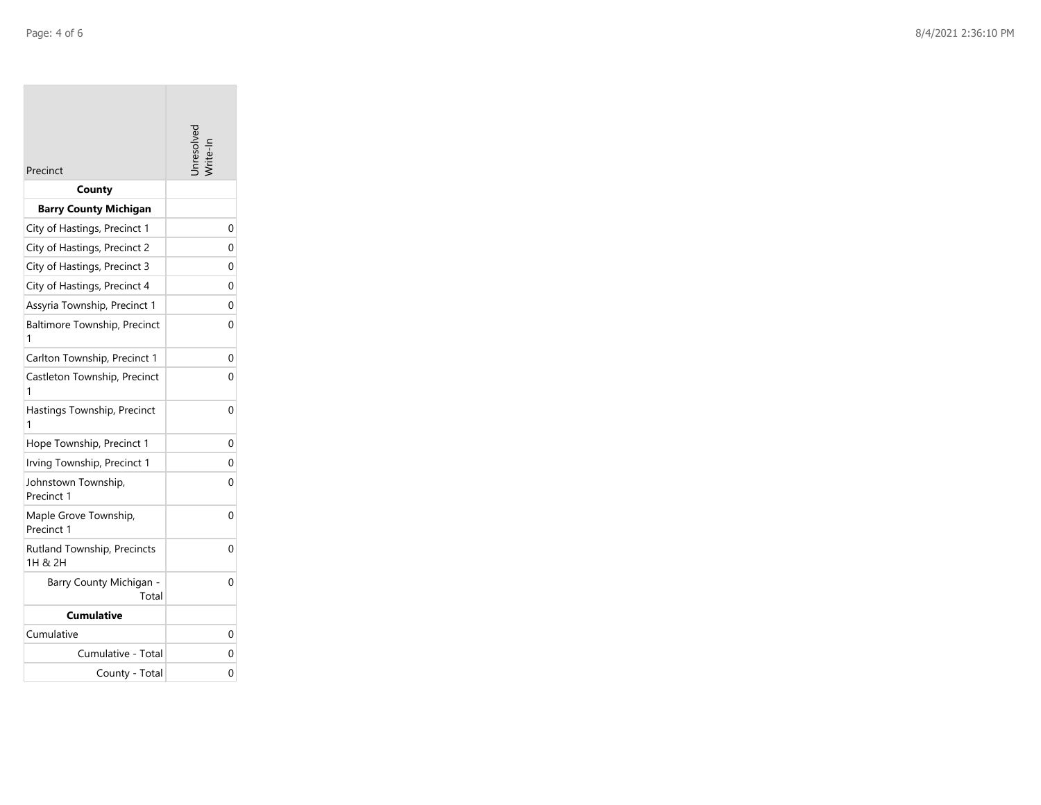| Precinct                               | nresolve |
|----------------------------------------|----------|
| County                                 |          |
| <b>Barry County Michigan</b>           |          |
| City of Hastings, Precinct 1           | 0        |
| City of Hastings, Precinct 2           | 0        |
| City of Hastings, Precinct 3           | 0        |
| City of Hastings, Precinct 4           | 0        |
| Assyria Township, Precinct 1           | 0        |
| Baltimore Township, Precinct<br>1      | 0        |
| Carlton Township, Precinct 1           | 0        |
| Castleton Township, Precinct<br>1      | 0        |
| Hastings Township, Precinct<br>1       | 0        |
| Hope Township, Precinct 1              | 0        |
| Irving Township, Precinct 1            | 0        |
| Johnstown Township,<br>Precinct 1      | 0        |
| Maple Grove Township,<br>Precinct 1    | 0        |
| Rutland Township, Precincts<br>1H & 2H | 0        |
| Barry County Michigan -<br>Total       | 0        |
| Cumulative                             |          |
| Cumulative                             | 0        |
| Cumulative - Total                     | 0        |
| County - Total                         | 0        |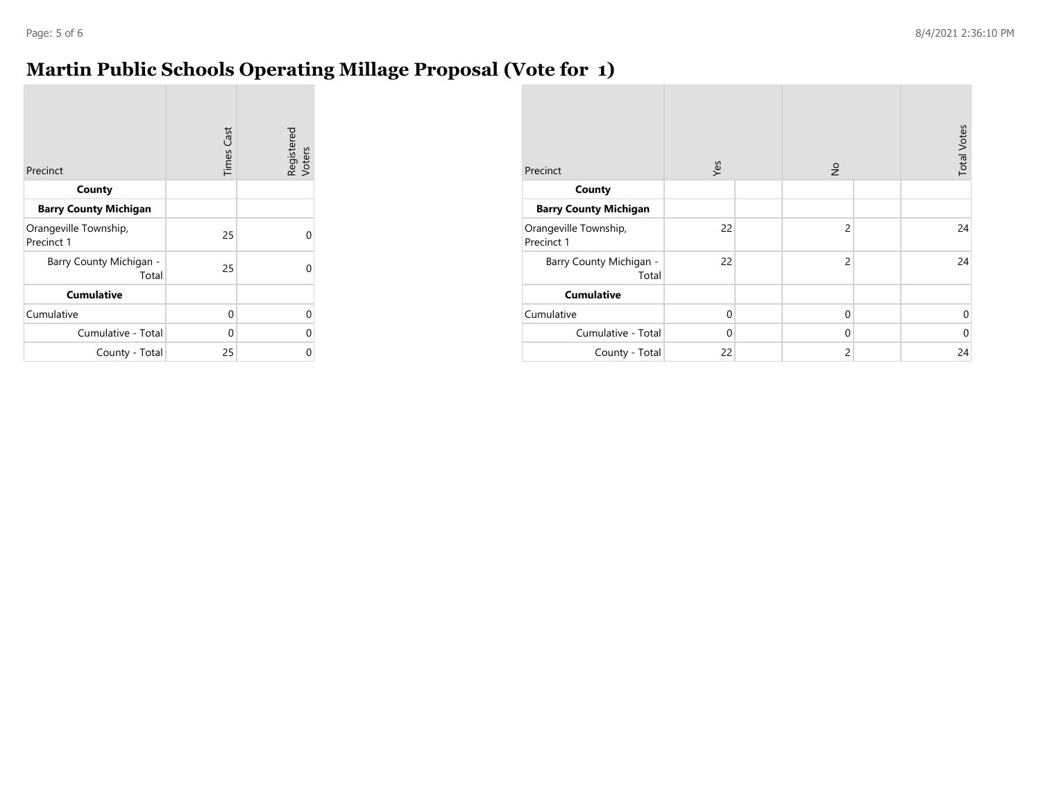## **Martin Public Schools Operating Millage Proposal (Vote for 1)**

| Precinct                            | <b>Times Cast</b> | Registered<br>Voters |
|-------------------------------------|-------------------|----------------------|
| County                              |                   |                      |
| <b>Barry County Michigan</b>        |                   |                      |
| Orangeville Township,<br>Precinct 1 | 25                | Ω                    |
| Barry County Michigan -<br>Total    | 25                | Ω                    |
| <b>Cumulative</b>                   |                   |                      |
| Cumulative                          | 0                 | 0                    |
| Cumulative - Total                  | 0                 | 0                    |
| County - Total                      | 25                | 0                    |

| Precinct                            | Yes         | $\frac{1}{2}$  | <b>Total Votes</b> |
|-------------------------------------|-------------|----------------|--------------------|
| County                              |             |                |                    |
| <b>Barry County Michigan</b>        |             |                |                    |
| Orangeville Township,<br>Precinct 1 | 22          | $\overline{c}$ | 24                 |
| Barry County Michigan -<br>Total    | 22          | $\overline{c}$ | 24                 |
| <b>Cumulative</b>                   |             |                |                    |
| Cumulative                          | $\mathbf 0$ | $\mathbf 0$    | $\mathbf 0$        |
| Cumulative - Total                  | $\mathbf 0$ | $\mathbf 0$    | $\mathbf 0$        |
| County - Total                      | 22          | $\overline{c}$ | 24                 |